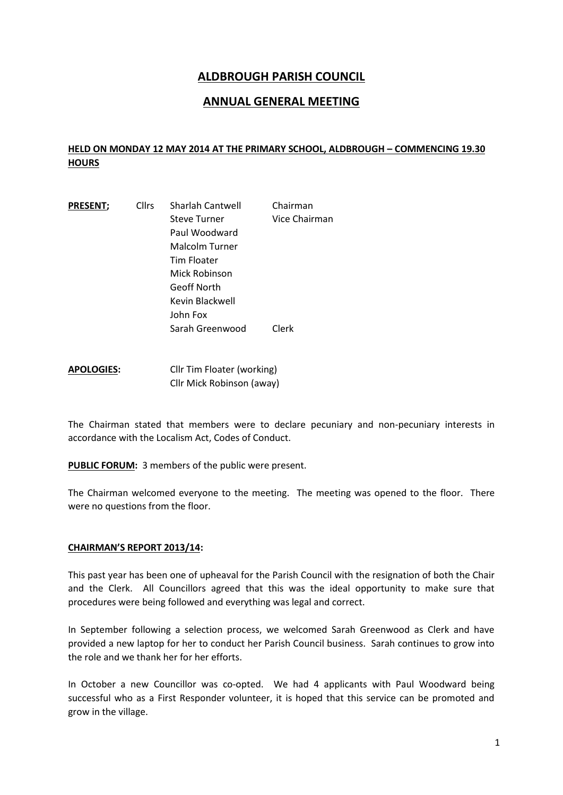## **ALDBROUGH PARISH COUNCIL**

## **ANNUAL GENERAL MEETING**

## **HELD ON MONDAY 12 MAY 2014 AT THE PRIMARY SCHOOL, ALDBROUGH – COMMENCING 19.30 HOURS**

| <b>PRESENT;</b> | <b>Cllrs</b> | Sharlah Cantwell    | Chairman      |
|-----------------|--------------|---------------------|---------------|
|                 |              | <b>Steve Turner</b> | Vice Chairman |
|                 |              | Paul Woodward       |               |
|                 |              | Malcolm Turner      |               |
|                 |              | Tim Floater         |               |
|                 |              | Mick Robinson       |               |
|                 |              | Geoff North         |               |
|                 |              | Kevin Blackwell     |               |
|                 |              | John Fox            |               |
|                 |              | Sarah Greenwood     | Clerk         |
|                 |              |                     |               |

**APOLOGIES:** Cllr Tim Floater (working) Cllr Mick Robinson (away)

The Chairman stated that members were to declare pecuniary and non-pecuniary interests in accordance with the Localism Act, Codes of Conduct.

**PUBLIC FORUM:** 3 members of the public were present.

The Chairman welcomed everyone to the meeting. The meeting was opened to the floor. There were no questions from the floor.

## **CHAIRMAN'S REPORT 2013/14:**

This past year has been one of upheaval for the Parish Council with the resignation of both the Chair and the Clerk. All Councillors agreed that this was the ideal opportunity to make sure that procedures were being followed and everything was legal and correct.

In September following a selection process, we welcomed Sarah Greenwood as Clerk and have provided a new laptop for her to conduct her Parish Council business. Sarah continues to grow into the role and we thank her for her efforts.

In October a new Councillor was co-opted. We had 4 applicants with Paul Woodward being successful who as a First Responder volunteer, it is hoped that this service can be promoted and grow in the village.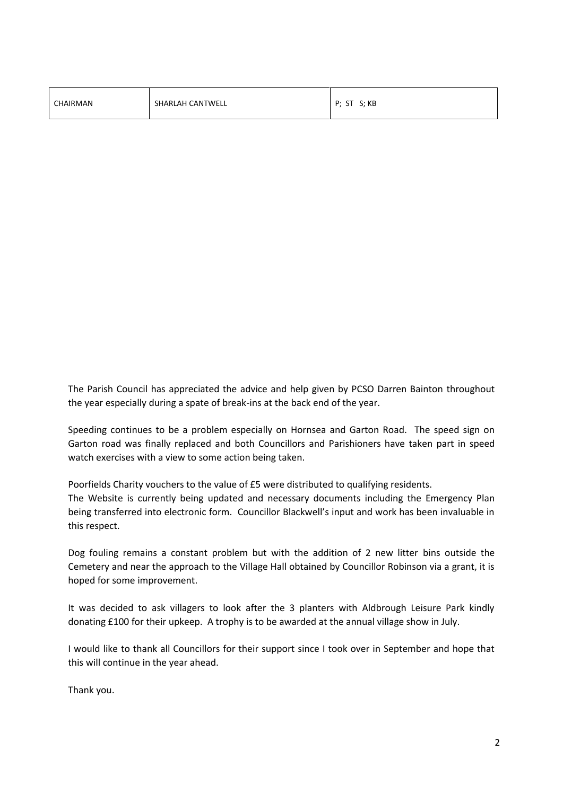| CHAIRMAN | SHARLAH CANTWELL | P; ST S; KB |
|----------|------------------|-------------|
|----------|------------------|-------------|

The Parish Council has appreciated the advice and help given by PCSO Darren Bainton throughout the year especially during a spate of break-ins at the back end of the year.

Speeding continues to be a problem especially on Hornsea and Garton Road. The speed sign on Garton road was finally replaced and both Councillors and Parishioners have taken part in speed watch exercises with a view to some action being taken.

Poorfields Charity vouchers to the value of £5 were distributed to qualifying residents.

The Website is currently being updated and necessary documents including the Emergency Plan being transferred into electronic form. Councillor Blackwell's input and work has been invaluable in this respect.

Dog fouling remains a constant problem but with the addition of 2 new litter bins outside the Cemetery and near the approach to the Village Hall obtained by Councillor Robinson via a grant, it is hoped for some improvement.

It was decided to ask villagers to look after the 3 planters with Aldbrough Leisure Park kindly donating £100 for their upkeep. A trophy is to be awarded at the annual village show in July.

I would like to thank all Councillors for their support since I took over in September and hope that this will continue in the year ahead.

Thank you.